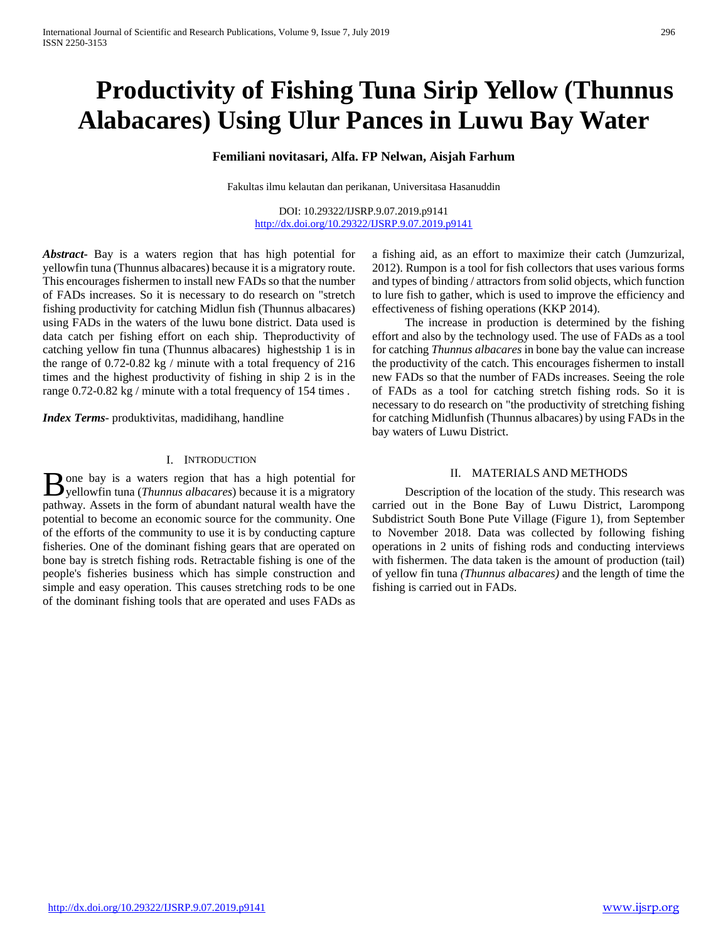# **Productivity of Fishing Tuna Sirip Yellow (Thunnus Alabacares) Using Ulur Pances in Luwu Bay Water**

# **Femiliani novitasari, Alfa. FP Nelwan, Aisjah Farhum**

Fakultas ilmu kelautan dan perikanan, Universitasa Hasanuddin

DOI: 10.29322/IJSRP.9.07.2019.p9141 <http://dx.doi.org/10.29322/IJSRP.9.07.2019.p9141>

*Abstract***-** Bay is a waters region that has high potential for yellowfin tuna (Thunnus albacares) because it is a migratory route. This encourages fishermen to install new FADs so that the number of FADs increases. So it is necessary to do research on "stretch fishing productivity for catching Midlun fish (Thunnus albacares) using FADs in the waters of the luwu bone district. Data used is data catch per fishing effort on each ship. Theproductivity of catching yellow fin tuna (Thunnus albacares) highestship 1 is in the range of 0.72-0.82 kg / minute with a total frequency of 216 times and the highest productivity of fishing in ship 2 is in the range 0.72-0.82 kg / minute with a total frequency of 154 times .

*Index Terms*- produktivitas, madidihang, handline

### I. INTRODUCTION

one bay is a waters region that has a high potential for **B** one bay is a waters region that has a high potential for yellowfin tuna (*Thunnus albacares*) because it is a migratory pathway*.* Assets in the form of abundant natural wealth have the potential to become an economic source for the community. One of the efforts of the community to use it is by conducting capture fisheries. One of the dominant fishing gears that are operated on bone bay is stretch fishing rods. Retractable fishing is one of the people's fisheries business which has simple construction and simple and easy operation. This causes stretching rods to be one of the dominant fishing tools that are operated and uses FADs as

a fishing aid, as an effort to maximize their catch (Jumzurizal, 2012). Rumpon is a tool for fish collectors that uses various forms and types of binding / attractors from solid objects, which function to lure fish to gather, which is used to improve the efficiency and effectiveness of fishing operations (KKP 2014).

 The increase in production is determined by the fishing effort and also by the technology used. The use of FADs as a tool for catching *Thunnus albacares* in bone bay the value can increase the productivity of the catch. This encourages fishermen to install new FADs so that the number of FADs increases. Seeing the role of FADs as a tool for catching stretch fishing rods. So it is necessary to do research on "the productivity of stretching fishing for catching Midlunfish (Thunnus albacares) by using FADs in the bay waters of Luwu District.

### II. MATERIALS AND METHODS

 Description of the location of the study. This research was carried out in the Bone Bay of Luwu District, Larompong Subdistrict South Bone Pute Village (Figure 1), from September to November 2018. Data was collected by following fishing operations in 2 units of fishing rods and conducting interviews with fishermen. The data taken is the amount of production (tail) of yellow fin tuna *(Thunnus albacares)* and the length of time the fishing is carried out in FADs.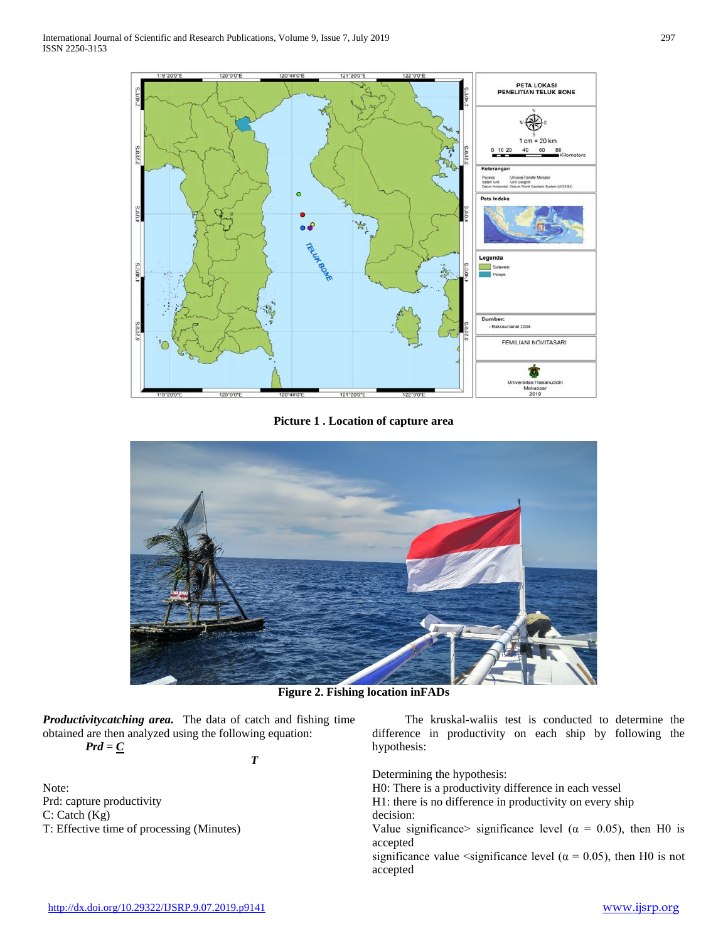

**Picture 1 . Location of capture area**



**Figure 2. Fishing location inFADs**

*Productivitycatching area.* The data of catch and fishing time obtained are then analyzed using the following equation:

 $Prd = \underline{C}$ 

Note: Prd: capture productivity C: Catch (Kg) T: Effective time of processing (Minutes)

 *T*

 The kruskal-waliis test is conducted to determine the difference in productivity on each ship by following the hypothesis:

Determining the hypothesis:

H0: There is a productivity difference in each vessel H1: there is no difference in productivity on every ship decision:

Value significance> significance level ( $\alpha = 0.05$ ), then H0 is accepted

significance value <significance level ( $\alpha = 0.05$ ), then H0 is not accepted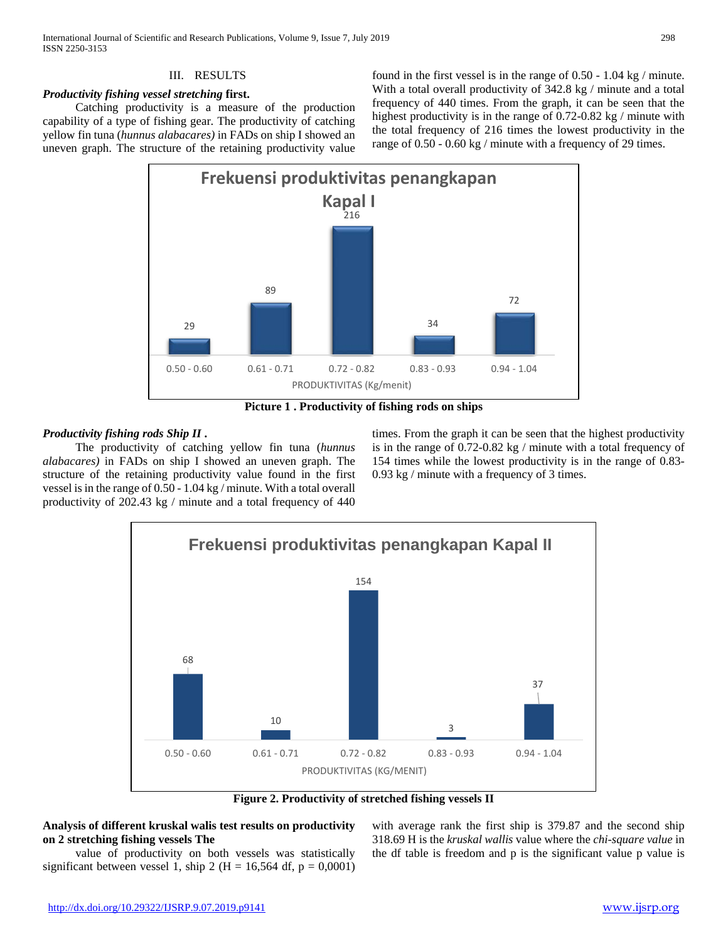## III. RESULTS

## *Productivity fishing vessel stretching* **first.**

 Catching productivity is a measure of the production capability of a type of fishing gear. The productivity of catching yellow fin tuna (*hunnus alabacares)* in FADs on ship I showed an uneven graph. The structure of the retaining productivity value

found in the first vessel is in the range of 0.50 - 1.04 kg / minute. With a total overall productivity of 342.8 kg / minute and a total frequency of 440 times. From the graph, it can be seen that the highest productivity is in the range of 0.72-0.82 kg / minute with the total frequency of 216 times the lowest productivity in the range of 0.50 - 0.60 kg / minute with a frequency of 29 times.



**Picture 1 . Productivity of fishing rods on ships**

## *Productivity fishing rods Ship II* **.**

 The productivity of catching yellow fin tuna (*hunnus alabacares)* in FADs on ship I showed an uneven graph. The structure of the retaining productivity value found in the first vessel is in the range of 0.50 - 1.04 kg / minute. With a total overall productivity of 202.43 kg / minute and a total frequency of 440

times. From the graph it can be seen that the highest productivity is in the range of 0.72-0.82 kg / minute with a total frequency of 154 times while the lowest productivity is in the range of 0.83- 0.93 kg / minute with a frequency of 3 times.



**Figure 2. Productivity of stretched fishing vessels II**

# **Analysis of different kruskal walis test results on productivity on 2 stretching fishing vessels The**

 value of productivity on both vessels was statistically significant between vessel 1, ship 2 (H = 16,564 df,  $p = 0,0001$ ) with average rank the first ship is 379.87 and the second ship 318.69 H is the *kruskal wallis* value where the *chi-square value* in the df table is freedom and p is the significant value p value is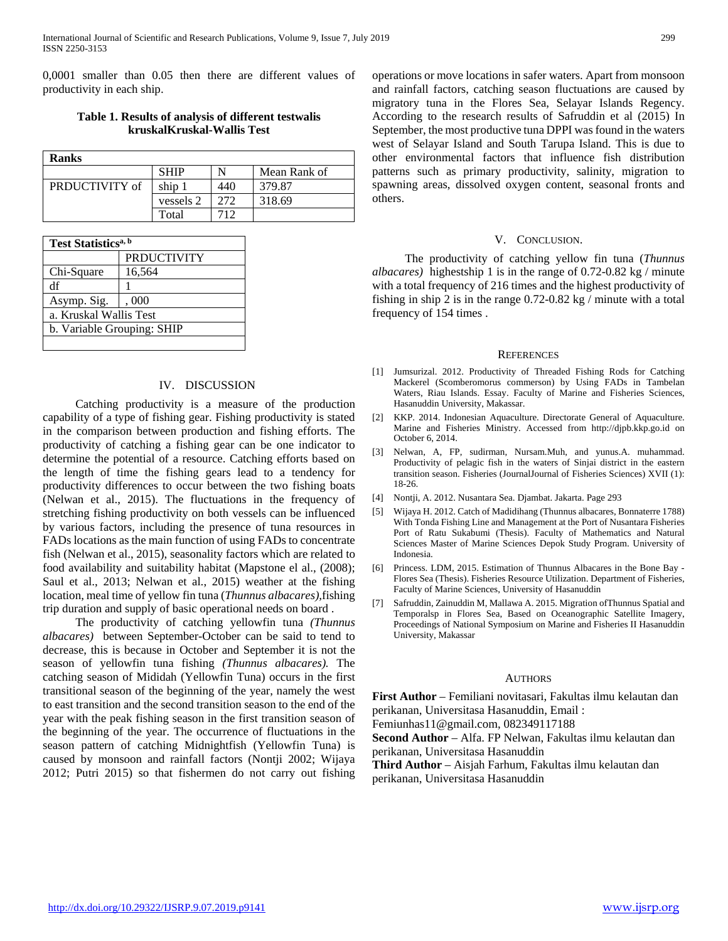0,0001 smaller than 0.05 then there are different values of productivity in each ship.

## **Table 1. Results of analysis of different testwalis kruskalKruskal-Wallis Test**

| <b>Ranks</b>   |             |     |              |  |
|----------------|-------------|-----|--------------|--|
|                | <b>SHIP</b> |     | Mean Rank of |  |
| PRDUCTIVITY of | ship.       | 440 | 379.87       |  |
|                | vessels 2   | 272 | 318.69       |  |
|                | Total       | 712 |              |  |

| Test Statistics <sup>a, b</sup> |                    |  |  |
|---------------------------------|--------------------|--|--|
|                                 | <b>PRDUCTIVITY</b> |  |  |
| Chi-Square                      | 16,564             |  |  |
| df                              |                    |  |  |
| Asymp. Sig.                     | .000               |  |  |
| a. Kruskal Wallis Test          |                    |  |  |
| b. Variable Grouping: SHIP      |                    |  |  |
|                                 |                    |  |  |

## IV. DISCUSSION

 Catching productivity is a measure of the production capability of a type of fishing gear. Fishing productivity is stated in the comparison between production and fishing efforts. The productivity of catching a fishing gear can be one indicator to determine the potential of a resource. Catching efforts based on the length of time the fishing gears lead to a tendency for productivity differences to occur between the two fishing boats (Nelwan et al., 2015). The fluctuations in the frequency of stretching fishing productivity on both vessels can be influenced by various factors, including the presence of tuna resources in FADs locations as the main function of using FADs to concentrate fish (Nelwan et al., 2015), seasonality factors which are related to food availability and suitability habitat (Mapstone el al., (2008); Saul et al., 2013; Nelwan et al., 2015) weather at the fishing location, meal time of yellow fin tuna (*Thunnus albacares),*fishing trip duration and supply of basic operational needs on board .

 The productivity of catching yellowfin tuna *(Thunnus albacares)* between September-October can be said to tend to decrease, this is because in October and September it is not the season of yellowfin tuna fishing *(Thunnus albacares).* The catching season of Mididah (Yellowfin Tuna) occurs in the first transitional season of the beginning of the year, namely the west to east transition and the second transition season to the end of the year with the peak fishing season in the first transition season of the beginning of the year. The occurrence of fluctuations in the season pattern of catching Midnightfish (Yellowfin Tuna) is caused by monsoon and rainfall factors (Nontji 2002; Wijaya 2012; Putri 2015) so that fishermen do not carry out fishing

operations or move locations in safer waters. Apart from monsoon and rainfall factors, catching season fluctuations are caused by migratory tuna in the Flores Sea, Selayar Islands Regency. According to the research results of Safruddin et al (2015) In September, the most productive tuna DPPI was found in the waters west of Selayar Island and South Tarupa Island. This is due to other environmental factors that influence fish distribution patterns such as primary productivity, salinity, migration to spawning areas, dissolved oxygen content, seasonal fronts and others.

#### V. CONCLUSION.

 The productivity of catching yellow fin tuna (*Thunnus albacares)* highestship 1 is in the range of 0.72-0.82 kg / minute with a total frequency of 216 times and the highest productivity of fishing in ship 2 is in the range 0.72-0.82 kg / minute with a total frequency of 154 times .

#### **REFERENCES**

- [1] Jumsurizal. 2012. Productivity of Threaded Fishing Rods for Catching Mackerel (Scomberomorus commerson) by Using FADs in Tambelan Waters, Riau Islands. Essay. Faculty of Marine and Fisheries Sciences, Hasanuddin University, Makassar.
- [2] KKP. 2014. Indonesian Aquaculture. Directorate General of Aquaculture. Marine and Fisheries Ministry. Accessed from http://djpb.kkp.go.id on October 6, 2014.
- [3] Nelwan, A, FP, sudirman, Nursam.Muh, and yunus.A. muhammad. Productivity of pelagic fish in the waters of Sinjai district in the eastern transition season. Fisheries (JournalJournal of Fisheries Sciences) XVII (1): 18-26.
- [4] Nontji, A. 2012. Nusantara Sea. Djambat. Jakarta. Page 293
- [5] Wijaya H. 2012. Catch of Madidihang (Thunnus albacares, Bonnaterre 1788) With Tonda Fishing Line and Management at the Port of Nusantara Fisheries Port of Ratu Sukabumi (Thesis). Faculty of Mathematics and Natural Sciences Master of Marine Sciences Depok Study Program. University of Indonesia.
- [6] Princess. LDM, 2015. Estimation of Thunnus Albacares in the Bone Bay Flores Sea (Thesis). Fisheries Resource Utilization. Department of Fisheries, Faculty of Marine Sciences, University of Hasanuddin
- [7] Safruddin, Zainuddin M, Mallawa A. 2015. Migration ofThunnus Spatial and Temporalsp in Flores Sea, Based on Oceanographic Satellite Imagery, Proceedings of National Symposium on Marine and Fisheries II Hasanuddin University, Makassar

#### **AUTHORS**

**First Author** – Femiliani novitasari, Fakultas ilmu kelautan dan perikanan, Universitasa Hasanuddin, Email :

Femiunhas11@gmail.com, 082349117188

**Second Author** – Alfa. FP Nelwan, Fakultas ilmu kelautan dan perikanan, Universitasa Hasanuddin

**Third Author** – Aisjah Farhum, Fakultas ilmu kelautan dan perikanan, Universitasa Hasanuddin